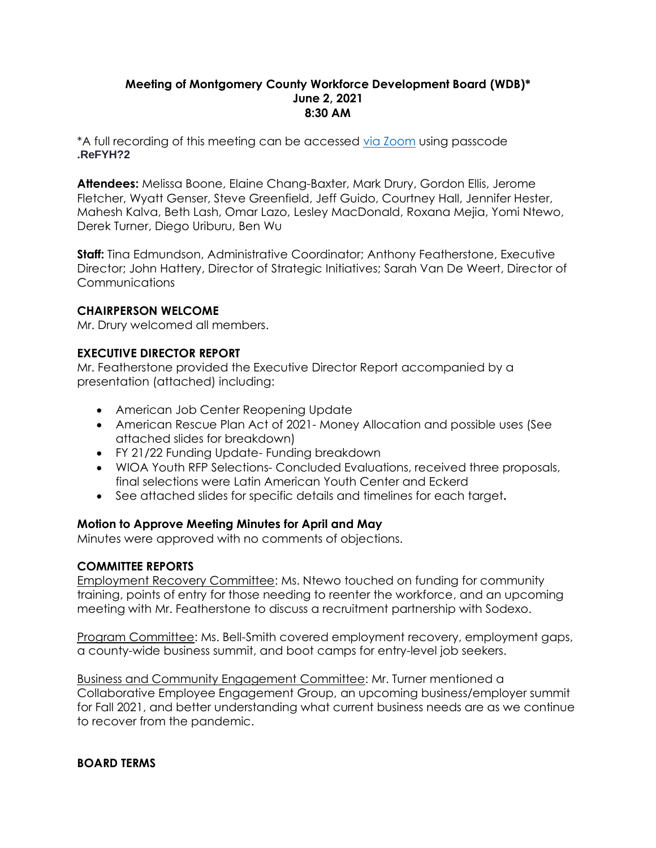## **Meeting of Montgomery County Workforce Development Board (WDB)\* June 2, 2021 8:30 AM**

\*A full recording of this meeting can be accessed [via Zoom](https://us02web.zoom.us/rec/share/-zVz0bpveUZmtMg7E8QenHhxV86cUbsDJha3njEhy5ZxrVE988HQrRJFfAkkQddV.a0IKhKVZXFSPOS4O?startTime=1622635869000) using passcode **.ReFYH?2**

**Attendees:** Melissa Boone, Elaine Chang-Baxter, Mark Drury, Gordon Ellis, Jerome Fletcher, Wyatt Genser, Steve Greenfield, Jeff Guido, Courtney Hall, Jennifer Hester, Mahesh Kalva, Beth Lash, Omar Lazo, Lesley MacDonald, Roxana Mejia, Yomi Ntewo, Derek Turner, Diego Uriburu, Ben Wu

**Staff:** Tina Edmundson, Administrative Coordinator; Anthony Featherstone, Executive Director; John Hattery, Director of Strategic Initiatives; Sarah Van De Weert, Director of **Communications** 

## **CHAIRPERSON WELCOME**

Mr. Drury welcomed all members.

## **EXECUTIVE DIRECTOR REPORT**

Mr. Featherstone provided the Executive Director Report accompanied by a presentation (attached) including:

- American Job Center Reopening Update
- American Rescue Plan Act of 2021- Money Allocation and possible uses (See attached slides for breakdown)
- FY 21/22 Funding Update- Funding breakdown
- WIOA Youth RFP Selections- Concluded Evaluations, received three proposals, final selections were Latin American Youth Center and Eckerd
- See attached slides for specific details and timelines for each target**.**

### **Motion to Approve Meeting Minutes for April and May**

Minutes were approved with no comments of objections.

### **COMMITTEE REPORTS**

Employment Recovery Committee: Ms. Ntewo touched on funding for community training, points of entry for those needing to reenter the workforce, and an upcoming meeting with Mr. Featherstone to discuss a recruitment partnership with Sodexo.

Program Committee: Ms. Bell-Smith covered employment recovery, employment gaps, a county-wide business summit, and boot camps for entry-level job seekers.

Business and Community Engagement Committee: Mr. Turner mentioned a Collaborative Employee Engagement Group, an upcoming business/employer summit for Fall 2021, and better understanding what current business needs are as we continue to recover from the pandemic.

### **BOARD TERMS**